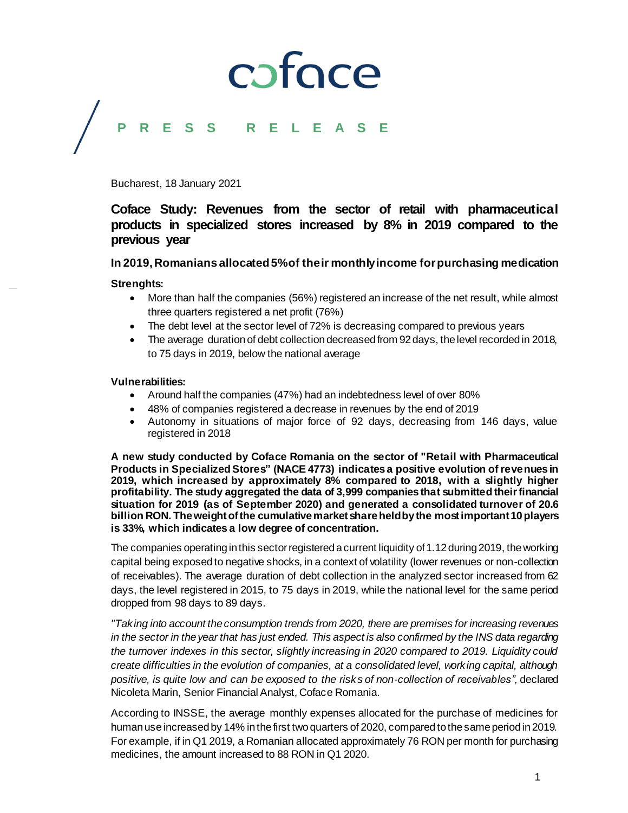## coface

### **P R E S S R E L E A S E**

Bucharest, 18 January 2021

### **Coface Study: Revenues from the sector of retail with pharmaceutical products in specialized stores increased by 8% in 2019 compared to the previous year**

### **In 2019, Romanians allocated5% of their monthly income for purchasing medication**

### **Strenghts:**

- More than half the companies (56%) registered an increase of the net result, while almost three quarters registered a net profit (76%)
- The debt level at the sector level of 72% is decreasing compared to previous years
- The average duration of debt collection decreased from 92 days, the level recorded in 2018, to 75 days in 2019, below the national average

### **Vulnerabilities:**

- Around half the companies (47%) had an indebtedness level of over 80%
- 48% of companies registered a decrease in revenues by the end of 2019
- Autonomy in situations of major force of 92 days, decreasing from 146 days, value registered in 2018

**A new study conducted by Coface Romania on the sector of "Retail with Pharmaceutical Products in Specialized Stores" (NACE 4773) indicates a positive evolution of revenues in 2019, which increased by approximately 8% compared to 2018, with a slightly higher profitability. The study aggregated the data of 3,999 companies that submitted their financial situation for 2019 (as of September 2020) and generated a consolidated turnover of 20.6 billion RON. The weight of the cumulative market share held by the most important 10 players is 33%, which indicates a low degree of concentration.**

The companies operating in this sector registered a current liquidity of 1.12 during 2019, the working capital being exposed to negative shocks, in a context of volatility (lower revenues or non-collection of receivables). The average duration of debt collection in the analyzed sector increased from 62 days, the level registered in 2015, to 75 days in 2019, while the national level for the same period dropped from 98 days to 89 days.

*"Taking into account the consumption trends from 2020, there are premises for increasing revenues in the sector in the year that has just ended. This aspect is also confirmed by the INS data regarding the turnover indexes in this sector, slightly increasing in 2020 compared to 2019. Liquidity could create difficulties in the evolution of companies, at a consolidated level, working capital, although positive, is quite low and can be exposed to the risks of non-collection of receivables",* declared Nicoleta Marin, Senior Financial Analyst, Coface Romania.

According to INSSE, the average monthly expenses allocated for the purchase of medicines for human use increased by 14% in the first two quarters of 2020, compared to the same period in 2019. For example, if in Q1 2019, a Romanian allocated approximately 76 RON per month for purchasing medicines, the amount increased to 88 RON in Q1 2020.